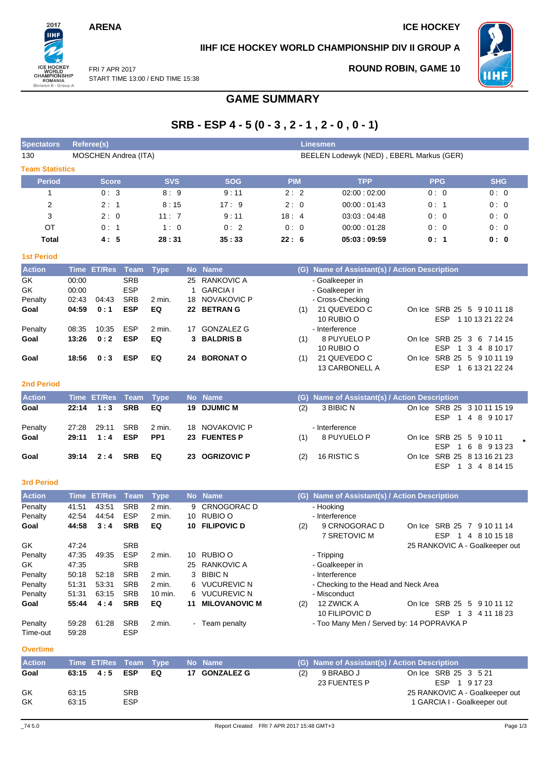## **ARENA** ICE HOCKEY

2017 шĤ

ICE HOCKEY<br>
WORLD<br>
CHAMPIONSHIP<br>
ROMANIA<br>
Division II - Group A

FRI 7 APR 2017

## **IIHF ICE HOCKEY WORLD CHAMPIONSHIP DIV II GROUP A**



**ROUND ROBIN, GAME 10**

START TIME 13:00 / END TIME 15:38

# **GAME SUMMARY**

# **SRB - ESP 4 - 5 (0 - 3 , 2 - 1 , 2 - 0 , 0 - 1)**

| <b>Spectators</b>      |                         | <b>Referee(s)</b>    |                                        |             |           |                                              |            |     | Linesmen                                               |                                                      |            |
|------------------------|-------------------------|----------------------|----------------------------------------|-------------|-----------|----------------------------------------------|------------|-----|--------------------------------------------------------|------------------------------------------------------|------------|
| 130                    |                         | MOSCHEN Andrea (ITA) |                                        |             |           |                                              |            |     | BEELEN Lodewyk (NED), EBERL Markus (GER)               |                                                      |            |
| <b>Team Statistics</b> |                         |                      |                                        |             |           |                                              |            |     |                                                        |                                                      |            |
| <b>Period</b>          |                         | <b>Score</b>         |                                        | <b>SVS</b>  |           | <b>SOG</b>                                   | <b>PIM</b> |     | <b>TPP</b>                                             | <b>PPG</b>                                           | <b>SHG</b> |
|                        |                         | 0:3                  |                                        | 8:9         |           | 9:11                                         | 2:2        |     | 02:00:02:00                                            | 0:0                                                  | 0:0        |
| 2                      |                         | 2:1                  |                                        | 8:15        |           | 17:9                                         | 2:0        |     | 00:00:01:43                                            | 0:1                                                  | 0:0        |
| 3                      |                         | 2:0                  |                                        | 11:7        |           | 9:11                                         | 18:4       |     | 03:03:04:48                                            | 0:0                                                  | 0:0        |
| OT                     |                         | 0:1                  |                                        | 1:0         |           | 0:2                                          | 0:0        |     | 00:00:01:28                                            | 0:0                                                  | 0:0        |
| Total                  |                         | 4:5                  |                                        | 28:31       |           | 35:33                                        | 22:6       |     | 05:03:09:59                                            | 0:1                                                  | 0: 0       |
| <b>1st Period</b>      |                         |                      |                                        |             |           |                                              |            |     |                                                        |                                                      |            |
| <b>Action</b>          | <b>Time</b>             | <b>ET/Res</b>        | Team                                   | <b>Type</b> | <b>No</b> | <b>Name</b>                                  |            | (G) | Name of Assistant(s) / Action Description              |                                                      |            |
| GK<br>GK<br>Penalty    | 00:00<br>00:00<br>02:43 | 04:43                | <b>SRB</b><br><b>ESP</b><br><b>SRB</b> | 2 min.      | 25<br>18  | RANKOVIC A<br><b>GARCIA I</b><br>NOVAKOVIC P |            |     | - Goalkeeper in<br>- Goalkeeper in<br>- Cross-Checking |                                                      |            |
| Goal                   | 04:59                   | 0:1                  | <b>ESP</b>                             | EQ          | 22        | <b>BETRANG</b>                               |            | (1) | 21 QUEVEDO C<br>$\sim$ $\sim$ $\sim$                   | On Ice SRB 25 5 9 10 11 18<br><b>FOD 44040040004</b> |            |

#### 10 RUBIO O ESP 1 10 13 21 22 24 Penalty 08:35 10:35 ESP 2 min. 17 GONZALEZ G - Interference **Goal 13:26 0 : 2 ESP EQ 3 BALDRIS B** (1) 8 PUYUELO P 10 RUBIO O On Ice SRB 25 3 6 7 14 15 ESP 1 3 4 8 10 17 **Goal 18:56 0 : 3 ESP EQ 24 BORONAT O** (1) 21 QUEVEDO C 13 CARBONELL A On Ice SRB 25 5 9 10 11 19 ESP 1 6 13 21 22 24

#### **2nd Period**

| <b>Action</b> |       | Time ET/Res Team Type |            |                 | No Name        |     | (G) Name of Assistant(s) / Action Description |                                                  |
|---------------|-------|-----------------------|------------|-----------------|----------------|-----|-----------------------------------------------|--------------------------------------------------|
| Goal          |       | $22:14$ 1:3           | <b>SRB</b> | EQ              | 19 DJUMIC M    | (2) | 3 BIBIC N                                     | On Ice SRB 25 3 10 11 15 19<br>ESP 1 4 8 9 10 17 |
| Penalty       | 27:28 | 29:11                 | <b>SRB</b> | 2 min.          | 18 NOVAKOVIC P |     | - Interference                                |                                                  |
| Goal          |       | $29:11 \quad 1:4$     | ESP        | PP <sub>1</sub> | 23 FUENTES P   | (1) | 8 PUYUELO P                                   | On Ice SRB 25 5 9 10 11<br>ESP 1 6 8 9 13 23     |
| Goal          |       | $39:14$ 2:4           | <b>SRB</b> | EQ              | 23 OGRIZOVIC P | (2) | 16 RISTIC S                                   | On Ice SRB 25 8 13 16 21 23<br>ESP 1 3 4 8 14 15 |

#### **3rd Period**

| <b>Action</b> | <b>Time</b> | <b>ET/Res</b> Team |            | Type     |     | No Name              | (G) | Name of Assistant(s) / Action Description       |
|---------------|-------------|--------------------|------------|----------|-----|----------------------|-----|-------------------------------------------------|
| Penalty       | 41:51       | 43:51              | <b>SRB</b> | $2$ min. | 9   | CRNOGORAC D          |     | - Hooking                                       |
| Penalty       | 42:54       | 44:54              | <b>ESP</b> | $2$ min. | 10  | RUBIO O              |     | - Interference                                  |
| Goal          | 44:58       | 3:4                | <b>SRB</b> | EQ       | 10. | <b>FILIPOVIC D</b>   | (2) | 9 CRNOGORAC D<br>On Ice SRB 25 7<br>9 10 11 14  |
|               |             |                    |            |          |     |                      |     | 7 SRETOVIC M<br><b>ESP</b><br>8 10 15 18<br>4   |
| GK            | 47:24       |                    | <b>SRB</b> |          |     |                      |     | 25 RANKOVIC A - Goalkeeper out                  |
| Penalty       | 47:35       | 49:35              | <b>ESP</b> | $2$ min. | 10  | RUBIO O              |     | - Tripping                                      |
| GK.           | 47:35       |                    | <b>SRB</b> |          | 25  | RANKOVIC A           |     | - Goalkeeper in                                 |
| Penalty       | 50:18       | 52:18              | <b>SRB</b> | 2 min.   | 3   | <b>BIBIC N</b>       |     | - Interference                                  |
| Penalty       | 51:31       | 53:31              | <b>SRB</b> | 2 min.   | 6   | VUCUREVIC N          |     | - Checking to the Head and Neck Area            |
| Penalty       | 51:31       | 63.15              | <b>SRB</b> | 10 min.  | 6.  | <b>VUCUREVIC N</b>   |     | - Misconduct                                    |
| Goal          | 55:44       | 4:4                | <b>SRB</b> | EQ       | 11  | <b>MILOVANOVIC M</b> | (2) | 12 ZWICK A<br>On Ice SRB 25<br>-5<br>9 10 11 12 |
|               |             |                    |            |          |     |                      |     | 10 FILIPOVIC D<br><b>ESP</b><br>3<br>4 11 18 23 |
| Penalty       | 59.28       | 61:28              | <b>SRB</b> | 2 min.   |     | - Team penalty       |     | - Too Many Men / Served by: 14 POPRAVKA P       |
| Time-out      | 59.28       |                    | <b>ESP</b> |          |     |                      |     |                                                 |

#### **Overtime**

| <b>Action</b> | Time ET/Res Team Type |            |    | - No Name     |     | (G) Name of Assistant(s) / Action Description |                                       |
|---------------|-----------------------|------------|----|---------------|-----|-----------------------------------------------|---------------------------------------|
| Goal          | 63:15  4:5  ESP       |            | EQ | 17 GONZALEZ G | (2) | 9 BRABO J<br>23 FUENTES P                     | On Ice SRB 25 3 5 21<br>ESP 1 9 17 23 |
| GK            | 63:15                 | <b>SRB</b> |    |               |     |                                               | 25 RANKOVIC A - Goalkeeper out        |
| GK            | 63:15                 | <b>ESP</b> |    |               |     |                                               | 1 GARCIA I - Goalkeeper out           |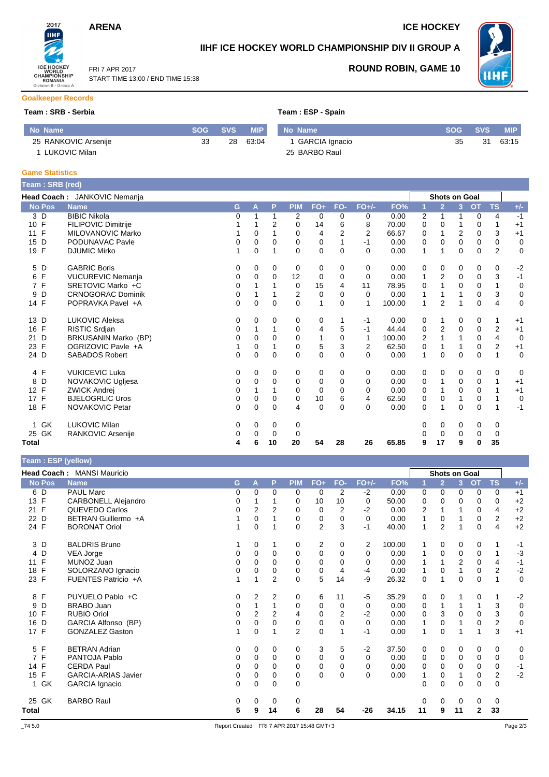## **ARENA** ICE HOCKEY

FRI 7 APR 2017

START TIME 13:00 / END TIME 15:38

**IIHF ICE HOCKEY WORLD CHAMPIONSHIP DIV II GROUP A**



### **ROUND ROBIN, GAME 10**

#### **Goalkeeper Records**

ICE HOCKEY<br>
WORLD<br>
CHAMPIONSHIP<br>
ROMANIA<br>
Division II - Group A

2017 **IIHF** 

#### **Team : SRB - Serbia Team : ESP - Serbia**

|  |  | eam : ESP - Spain |
|--|--|-------------------|
|--|--|-------------------|

| No Name              |    | SOG SVS | MIP   | No Name          | <b>SOG</b> | <b>SVS</b> | <b>MIP</b> |
|----------------------|----|---------|-------|------------------|------------|------------|------------|
| 25 RANKOVIC Arsenije | 33 | 28      | 63:04 | 1 GARCIA Ignacio | 35         | 31         | 63:15      |
| LUKOVIC Milan        |    |         |       | 25 BARBO Raul    |            |            |            |

#### **Game Statistics**

| Team: SRB (red)                 |                              |   |             |          |                |             |                |                |        |              |                      |              |             |                         |             |
|---------------------------------|------------------------------|---|-------------|----------|----------------|-------------|----------------|----------------|--------|--------------|----------------------|--------------|-------------|-------------------------|-------------|
|                                 | Head Coach: JANKOVIC Nemanja |   |             |          |                |             |                |                |        |              | <b>Shots on Goal</b> |              |             |                         |             |
| <b>No Pos</b>                   | <b>Name</b>                  | G | A           | P        | <b>PIM</b>     | FO+         | FO-            | $FO+/-$        | FO%    |              | $\overline{2}$       | 3            | <b>OT</b>   | <b>TS</b>               | $+/-$       |
| 3 D                             | <b>BIBIC Nikola</b>          | 0 | 1           |          | 2              | 0           | $\Omega$       | 0              | 0.00   | 2            | 1                    | 1            | $\mathbf 0$ | 4                       | $-1$        |
| 10 F                            | FILIPOVIC Dimitrije          |   |             | 2        | 0              | 14          | 6              | 8              | 70.00  | 0            | $\Omega$             | 1            | $\Omega$    | 1                       | $+1$        |
| 11 F                            | MILOVANOVIC Marko            |   | 0           |          | 0              | 4           | $\overline{2}$ | $\overline{2}$ | 66.67  | 0            |                      | 2            | $\mathbf 0$ | 3                       | $+1$        |
| D<br>15                         | PODUNAVAC Pavle              | 0 | 0           | 0        | 0              | 0           |                | $-1$           | 0.00   | 0            | $\Omega$             | 0            | 0           | 0                       | 0           |
| 19 F                            | <b>DJUMIC Mirko</b>          |   | $\Omega$    |          | $\Omega$       | $\Omega$    | $\Omega$       | $\Omega$       | 0.00   | $\mathbf{1}$ | 1                    | $\Omega$     | $\Omega$    | $\overline{2}$          | $\mathbf 0$ |
| D<br>5                          | <b>GABRIC Boris</b>          | 0 | 0           | 0        | 0              | 0           | 0              | 0              | 0.00   | 0            | 0                    | 0            | 0           | 0                       | $-2$        |
| F<br>6                          | <b>VUCUREVIC Nemanja</b>     | 0 | 0           | 0        | 12             | 0           | 0              | $\Omega$       | 0.00   | 1            | 2                    | 0            | 0           | 3                       | $-1$        |
| F<br>$\overline{7}$             | SRETOVIC Marko +C            | 0 |             |          | 0              | 15          | 4              | 11             | 78.95  | 0            |                      | 0            | 0           | 1                       | $\mathbf 0$ |
| D<br>9                          | <b>CRNOGORAC Dominik</b>     | 0 |             |          | $\overline{2}$ | 0           | 0              | $\Omega$       | 0.00   | 1            |                      | 1            | $\mathbf 0$ | 3                       | $\mathbf 0$ |
| 14 F                            | POPRAVKA Pavel +A            | 0 | 0           | 0        | 0              | 1           | 0              | 1              | 100.00 | $\mathbf{1}$ | 2                    | 1            | $\mathbf 0$ | 4                       | 0           |
| 13 D                            | <b>LUKOVIC Aleksa</b>        | 0 | 0           | 0        | 0              | 0           |                | $-1$           | 0.00   | 0            | 1                    | 0            | 0           | 1                       | $+1$        |
| F<br>16                         | RISTIC Srdjan                | 0 |             |          | 0              | 4           | 5              | $-1$           | 44.44  | 0            | 2                    | 0            | 0           | $\overline{\mathbf{c}}$ | $+1$        |
| 21 D                            | BRKUSANIN Marko (BP)         | 0 | $\Omega$    | 0        | $\Omega$       | 1           | $\Omega$       | $\mathbf{1}$   | 100.00 | 2            |                      | 1            | $\mathbf 0$ | 4                       | $\mathbf 0$ |
| F<br>23                         | OGRIZOVIC Pavle +A           |   | 0           |          | 0              | 5           | 3              | $\overline{2}$ | 62.50  | 0            |                      |              | $\mathbf 0$ | $\overline{2}$          | $+1$        |
| 24 D                            | <b>SABADOS Robert</b>        | 0 | $\mathbf 0$ | $\Omega$ | $\Omega$       | 0           | $\Omega$       | $\Omega$       | 0.00   | 1            | $\Omega$             | $\mathbf{0}$ | $\Omega$    |                         | $\mathbf 0$ |
| 4 F                             | <b>VUKICEVIC Luka</b>        | 0 | 0           | 0        | 0              | 0           | 0              | 0              | 0.00   | 0            | 0                    | 0            | 0           | 0                       | $\mathbf 0$ |
| D<br>8                          | NOVAKOVIC Ugljesa            | 0 | 0           | 0        | 0              | 0           | $\Omega$       | $\Omega$       | 0.00   | 0            | 1                    | 0            | 0           | 1                       | $+1$        |
| $\mathsf{F}$<br>12 <sup>°</sup> | <b>ZWICK Andrei</b>          | 0 |             |          | 0              | $\mathbf 0$ | 0              | $\Omega$       | 0.00   | 0            |                      | 0            | 0           |                         | $+1$        |
| 17 F                            | <b>BJELOGRLIC Uros</b>       | 0 | 0           | 0        | 0              | 10          | 6              | 4              | 62.50  | 0            | 0                    | 1            | $\mathbf 0$ |                         | $\mathbf 0$ |
| 18 F                            | NOVAKOVIC Petar              | 0 | $\Omega$    | $\Omega$ | 4              | $\mathbf 0$ | 0              | $\Omega$       | 0.00   | 0            | 1                    | 0            | 0           |                         | $-1$        |
| <b>GK</b><br>1                  | <b>LUKOVIC Milan</b>         | 0 | 0           | 0        | 0              |             |                |                |        | 0            | 0                    | 0            | 0           | 0                       |             |
| GK<br>25                        | RANKOVIC Arsenije            | 0 | 0           | $\Omega$ | 0              |             |                |                |        |              | 0                    | 0            | 0           | 0                       |             |
| Total                           |                              | 4 | 6           | 10       | 20             | 54          | 28             | 26             | 65.85  | 9            | 17                   | 9            | 0           | 35                      |             |

**Team : ESP (yellow)**

|                    | Head Coach: MANSI Mauricio |          |                |                |            |                |                |          |        |    |                | <b>Shots on Goal</b> |              |                |             |
|--------------------|----------------------------|----------|----------------|----------------|------------|----------------|----------------|----------|--------|----|----------------|----------------------|--------------|----------------|-------------|
| <b>No Pos</b>      | <b>Name</b>                | G.       | А              | P              | <b>PIM</b> | $FO+$          | FO-            | $FO+/-$  | FO%    |    | $\overline{2}$ | 3                    | <b>OT</b>    | <b>TS</b>      | $+/-$       |
| 6 D                | <b>PAUL Marc</b>           | 0        | $\Omega$       | $\Omega$       | 0          | 0              | 2              | $-2$     | 0.00   | 0  | 0              | 0                    | 0            | $\Omega$       | $+1$        |
| 13 F               | <b>CARBONELL Alejandro</b> | 0        |                |                | 0          | 10             | 10             | 0        | 50.00  | 0  | 0              | 0                    | 0            | 0              | $+2$        |
| 21 F               | QUEVEDO Carlos             | $\Omega$ | $\overline{2}$ | $\overline{2}$ | 0          | 0              | $\overline{2}$ | $-2$     | 0.00   | 2  |                | 1                    | 0            | 4              | $+2$        |
| 22<br>D            | BETRAN Guillermo +A        |          | 0              |                | 0          | 0              | 0              | $\Omega$ | 0.00   | 1  | 0              |                      | 0            | 2              | $+2$        |
| 24 F               | <b>BORONAT Oriol</b>       |          | $\Omega$       |                | $\Omega$   | $\overline{c}$ | 3              | $-1$     | 40.00  | 1  | $\overline{2}$ | 1                    | $\mathbf 0$  | 4              | $+2$        |
| 3 D                | <b>BALDRIS Bruno</b>       |          | 0              |                | 0          | 2              | 0              | 2        | 100.00 | 1  | 0              | 0                    | 0            |                | $-1$        |
| D<br>4             | VEA Jorge                  | 0        | 0              | $\Omega$       | 0          | 0              | $\Omega$       | $\Omega$ | 0.00   | 1  | 0              | 0                    | 0            | 1              | $-3$        |
| $\mathsf{F}$<br>11 | MUNOZ Juan                 | 0        | $\Omega$       | $\Omega$       | 0          | 0              | 0              | 0        | 0.00   | 1  |                | 2                    | 0            | 4              | $-1$        |
| F<br>18            | SOLORZANO Ignacio          | $\Omega$ | $\Omega$       | $\Omega$       | 0          | 0              | 4              | $-4$     | 0.00   | 1  | $\Omega$       | $\mathbf{1}$         | $\Omega$     | $\overline{2}$ | $-2$        |
| 23 F               | FUENTES Patricio +A        |          | 1              | $\overline{2}$ | 0          | 5              | 14             | -9       | 26.32  | 0  |                | 0                    | 0            | 1              | $\mathbf 0$ |
| 8 F                | PUYUELO Pablo +C           | 0        | 2              | $\overline{2}$ | 0          | 6              | 11             | $-5$     | 35.29  | 0  | 0              |                      | 0            | 1              | $-2$        |
| D<br>9             | BRABO Juan                 | $\Omega$ | 1              |                | 0          | 0              | 0              | 0        | 0.00   | 0  | 1              | 1                    | 1            | 3              | $\mathbf 0$ |
| F<br>10            | <b>RUBIO Oriol</b>         | 0        | $\overline{2}$ | 2              | 4          | 0              | $\overline{2}$ | $-2$     | 0.00   | 0  | 3              | 0                    | 0            | 3              | $\mathbf 0$ |
| D<br>16            | GARCIA Alfonso (BP)        | 0        | 0              | 0              | 0          | 0              | 0              | 0        | 0.00   | 1  | 0              | 1                    | $\mathbf 0$  | 2              | $\mathbf 0$ |
| 17 F               | <b>GONZALEZ Gaston</b>     |          | $\Omega$       |                | 2          | 0              |                | $-1$     | 0.00   | 1  | 0              | 1                    | 1            | 3              | $+1$        |
| 5 F                | <b>BETRAN Adrian</b>       | 0        | 0              | 0              | 0          | 3              | 5              | $-2$     | 37.50  | 0  | 0              | 0                    | 0            | 0              | 0           |
| $\mathsf{F}$<br>7  | PANTOJA Pablo              | 0        | 0              | 0              | 0          | 0              | 0              | 0        | 0.00   | 0  | 0              | 0                    | 0            | 0              | 0           |
| 14 F               | <b>CERDA Paul</b>          | 0        | 0              | $\Omega$       | 0          | 0              | 0              | $\Omega$ | 0.00   | 0  | 0              | 0                    | 0            | 0              | $-1$        |
| F<br>15            | <b>GARCIA-ARIAS Javier</b> | 0        | 0              | $\mathbf 0$    | 0          | 0              | $\mathbf 0$    | $\Omega$ | 0.00   | 1  | 0              | 1                    | 0            | $\overline{2}$ | $-2$        |
| 1 GK               | <b>GARCIA Ignacio</b>      | $\Omega$ | $\Omega$       | $\Omega$       | 0          |                |                |          |        | 0  | $\Omega$       | 0                    | $\Omega$     | $\Omega$       |             |
| 25 GK              | <b>BARBO Raul</b>          | 0        | 0              | 0              | 0          |                |                |          |        | 0  | 0              | 0                    | 0            | 0              |             |
| Total              |                            | 5        | 9              | 14             | 6          | 28             | 54             | $-26$    | 34.15  | 11 | 9              | 11                   | $\mathbf{2}$ | 33             |             |